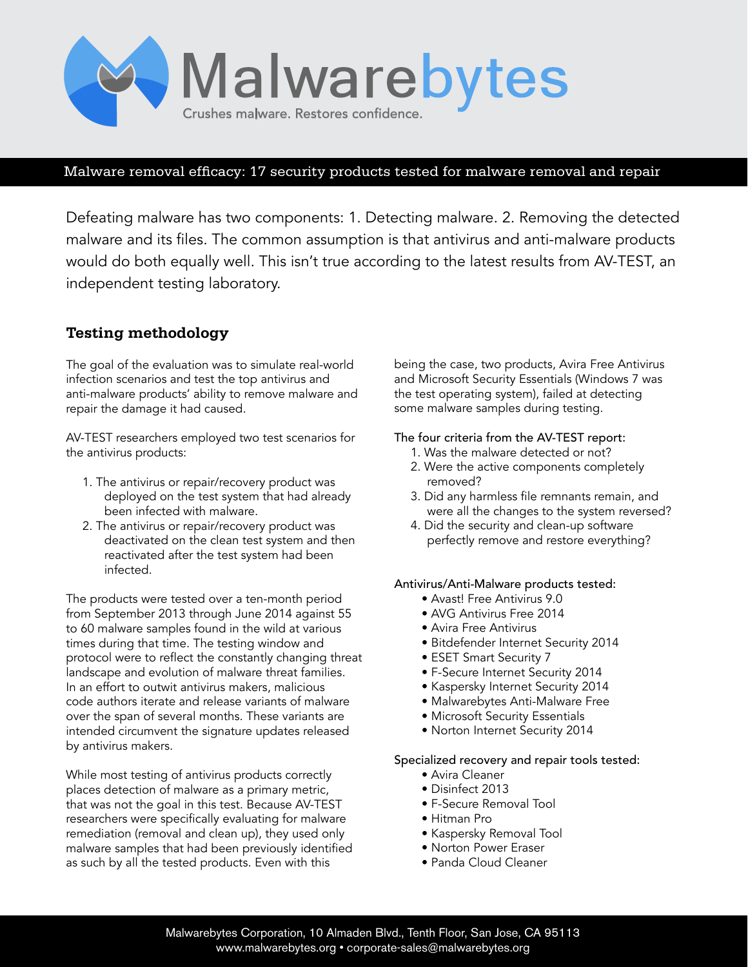

### Malware removal efficacy: 17 security products tested for malware removal and repair

Defeating malware has two components: 1. Detecting malware. 2. Removing the detected malware and its files. The common assumption is that antivirus and anti-malware products would do both equally well. This isn't true according to the latest results from AV-TEST, an independent testing laboratory.

# **Testing methodology**

The goal of the evaluation was to simulate real-world infection scenarios and test the top antivirus and anti-malware products' ability to remove malware and repair the damage it had caused.

AV-TEST researchers employed two test scenarios for the antivirus products:

- 1. The antivirus or repair/recovery product was deployed on the test system that had already been infected with malware.
- 2. The antivirus or repair/recovery product was deactivated on the clean test system and then reactivated after the test system had been infected.

The products were tested over a ten-month period from September 2013 through June 2014 against 55 to 60 malware samples found in the wild at various times during that time. The testing window and protocol were to reflect the constantly changing threat landscape and evolution of malware threat families. In an effort to outwit antivirus makers, malicious code authors iterate and release variants of malware over the span of several months. These variants are intended circumvent the signature updates released by antivirus makers.

While most testing of antivirus products correctly places detection of malware as a primary metric, that was not the goal in this test. Because AV-TEST researchers were specifically evaluating for malware remediation (removal and clean up), they used only malware samples that had been previously identified as such by all the tested products. Even with this

being the case, two products, Avira Free Antivirus and Microsoft Security Essentials (Windows 7 was the test operating system), failed at detecting some malware samples during testing.

#### The four criteria from the AV-TEST report:

- 1. Was the malware detected or not?
- 2. Were the active components completely removed?
- 3. Did any harmless file remnants remain, and were all the changes to the system reversed?
- 4. Did the security and clean-up software perfectly remove and restore everything?

#### Antivirus/Anti-Malware products tested:

- Avast! Free Antivirus 9.0
- AVG Antivirus Free 2014
- Avira Free Antivirus
- Bitdefender Internet Security 2014
- ESET Smart Security 7
- F-Secure Internet Security 2014
- Kaspersky Internet Security 2014
- Malwarebytes Anti-Malware Free
- Microsoft Security Essentials
- Norton Internet Security 2014

#### Specialized recovery and repair tools tested:

- Avira Cleaner
- Disinfect 2013
- F-Secure Removal Tool
- Hitman Pro
- Kaspersky Removal Tool
- Norton Power Eraser
- Panda Cloud Cleaner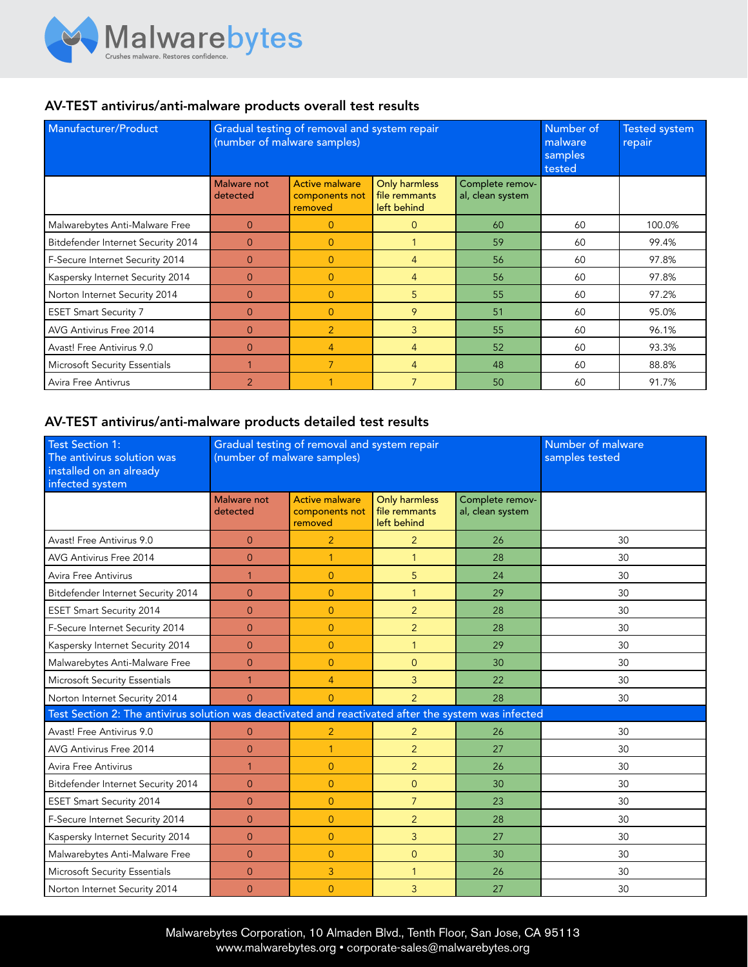

## AV-TEST antivirus/anti-malware products overall test results

| Manufacturer/Product               | Gradual testing of removal and system repair<br>(number of malware samples) |                                                    |                                               |                                     | Number of<br>malware<br>samples<br>tested | <b>Tested system</b><br>repair |
|------------------------------------|-----------------------------------------------------------------------------|----------------------------------------------------|-----------------------------------------------|-------------------------------------|-------------------------------------------|--------------------------------|
|                                    | <b>Malware not</b><br>detected                                              | <b>Active malware</b><br>components not<br>removed | Only harmless<br>file remmants<br>left behind | Complete remov-<br>al, clean system |                                           |                                |
| Malwarebytes Anti-Malware Free     | $\Omega$                                                                    | $\overline{0}$                                     | $\Omega$                                      | 60                                  | 60                                        | 100.0%                         |
| Bitdefender Internet Security 2014 | $\Omega$                                                                    | $\Omega$                                           |                                               | 59                                  | 60                                        | 99.4%                          |
| F-Secure Internet Security 2014    | $\Omega$                                                                    | $\overline{0}$                                     | $\overline{4}$                                | 56                                  | 60                                        | 97.8%                          |
| Kaspersky Internet Security 2014   | $\overline{0}$                                                              | $\overline{0}$                                     | $\overline{4}$                                | 56                                  | 60                                        | 97.8%                          |
| Norton Internet Security 2014      | $\Omega$                                                                    | $\Omega$                                           | 5 <sup>1</sup>                                | 55                                  | 60                                        | 97.2%                          |
| <b>ESET Smart Security 7</b>       | $\Omega$                                                                    | $\overline{0}$                                     | 9                                             | 51                                  | 60                                        | 95.0%                          |
| AVG Antivirus Free 2014            | $\Omega$                                                                    | $\overline{2}$                                     | $\mathbf{3}$                                  | 55                                  | 60                                        | 96.1%                          |
| Avast! Free Antivirus 9.0          | $\Omega$                                                                    | $\overline{4}$                                     | $\overline{4}$                                | 52                                  | 60                                        | 93.3%                          |
| Microsoft Security Essentials      |                                                                             | $\overline{7}$                                     | $\overline{4}$                                | 48                                  | 60                                        | 88.8%                          |
| Avira Free Antivrus                | $\mathcal{P}$                                                               |                                                    | $\overline{7}$                                | 50                                  | 60                                        | 91.7%                          |

## AV-TEST antivirus/anti-malware products detailed test results

| <b>Test Section 1:</b><br>The antivirus solution was<br>installed on an already<br>infected system   | Gradual testing of removal and system repair<br>(number of malware samples) |                                                    |                                                      |                                     | Number of malware<br>samples tested |
|------------------------------------------------------------------------------------------------------|-----------------------------------------------------------------------------|----------------------------------------------------|------------------------------------------------------|-------------------------------------|-------------------------------------|
|                                                                                                      | Malware not<br>detected                                                     | <b>Active malware</b><br>components not<br>removed | <b>Only harmless</b><br>file remmants<br>left behind | Complete remov-<br>al, clean system |                                     |
| Avast! Free Antivirus 9.0                                                                            | $\overline{0}$                                                              | $\overline{2}$                                     | $\overline{2}$                                       | 26                                  | 30                                  |
| AVG Antivirus Free 2014                                                                              | $\overline{0}$                                                              | $\mathbf{1}$                                       | $\mathbf{1}$                                         | 28                                  | 30                                  |
| Avira Free Antivirus                                                                                 | $\mathbf{1}$                                                                | $\Omega$                                           | 5                                                    | 24                                  | 30                                  |
| Bitdefender Internet Security 2014                                                                   | $\Omega$                                                                    | $\overline{0}$                                     | $\mathbf{1}$                                         | 29                                  | 30                                  |
| <b>ESET Smart Security 2014</b>                                                                      | $\overline{0}$                                                              | $\overline{0}$                                     | $\overline{2}$                                       | 28                                  | 30                                  |
| F-Secure Internet Security 2014                                                                      | $\overline{0}$                                                              | $\overline{0}$                                     | $\overline{2}$                                       | 28                                  | 30                                  |
| Kaspersky Internet Security 2014                                                                     | $\overline{0}$                                                              | $\overline{0}$                                     | $\mathbf{1}$                                         | 29                                  | 30                                  |
| Malwarebytes Anti-Malware Free                                                                       | $\overline{0}$                                                              | $\overline{0}$                                     | $\Omega$                                             | 30                                  | 30                                  |
| Microsoft Security Essentials                                                                        | $\mathbf{1}$                                                                | $\overline{4}$                                     | $\overline{3}$                                       | 22                                  | 30                                  |
| Norton Internet Security 2014                                                                        | $\overline{0}$                                                              | $\overline{0}$                                     | $\overline{2}$                                       | 28                                  | 30                                  |
| Test Section 2: The antivirus solution was deactivated and reactivated after the system was infected |                                                                             |                                                    |                                                      |                                     |                                     |
| Avast! Free Antivirus 9.0                                                                            | $\overline{0}$                                                              | $\overline{2}$                                     | $\overline{2}$                                       | 26                                  | 30                                  |
| AVG Antivirus Free 2014                                                                              | $\Omega$                                                                    | $\overline{1}$                                     | $\overline{2}$                                       | 27                                  | 30                                  |
| Avira Free Antivirus                                                                                 | $\mathbf{1}$                                                                | $\overline{0}$                                     | $\overline{2}$                                       | 26                                  | 30                                  |
| Bitdefender Internet Security 2014                                                                   | $\Omega$                                                                    | $\overline{0}$                                     | $\Omega$                                             | 30                                  | 30                                  |
| <b>ESET Smart Security 2014</b>                                                                      | $\overline{0}$                                                              | $\overline{0}$                                     | $\overline{7}$                                       | 23                                  | 30                                  |
| F-Secure Internet Security 2014                                                                      | $\overline{0}$                                                              | $\overline{0}$                                     | $\overline{2}$                                       | 28                                  | 30                                  |
| Kaspersky Internet Security 2014                                                                     | $\overline{0}$                                                              | $\overline{0}$                                     | 3                                                    | 27                                  | 30                                  |
| Malwarebytes Anti-Malware Free                                                                       | $\overline{0}$                                                              | $\overline{0}$                                     | $\Omega$                                             | 30                                  | 30                                  |
| Microsoft Security Essentials                                                                        | $\overline{0}$                                                              | 3                                                  | $\mathbf{1}$                                         | 26                                  | 30                                  |
| Norton Internet Security 2014                                                                        | $\overline{0}$                                                              | $\overline{0}$                                     | 3                                                    | 27                                  | 30                                  |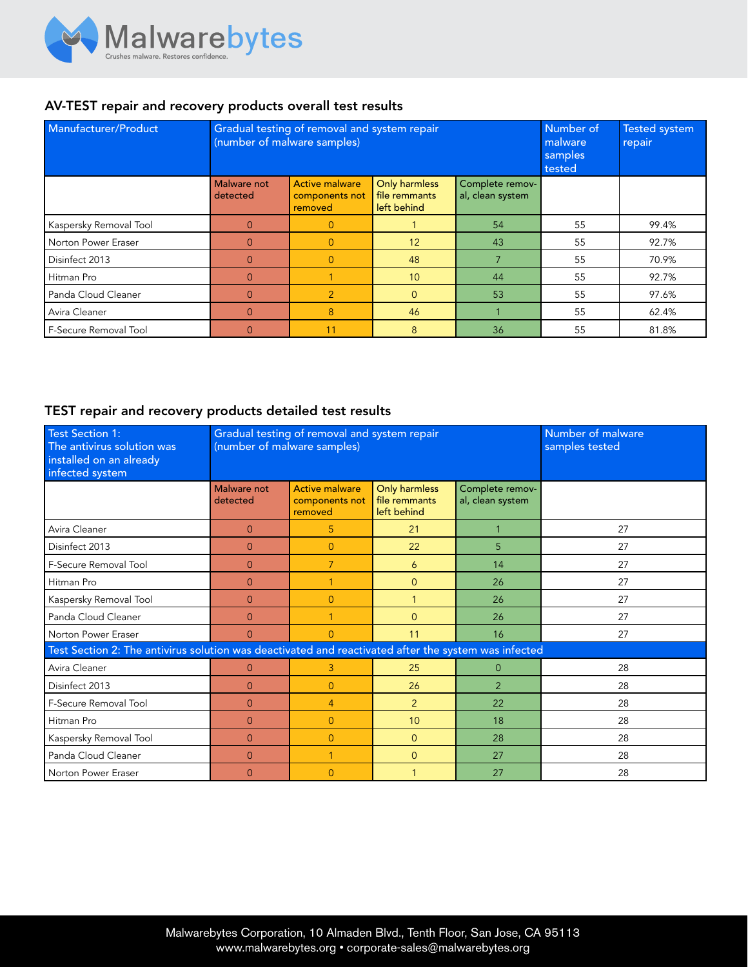

## AV-TEST repair and recovery products overall test results

| Manufacturer/Product   | Gradual testing of removal and system repair<br>(number of malware samples) |                                                    |                                               |                                     | Number of<br>malware<br>samples<br>tested | <b>Tested system</b><br>repair |
|------------------------|-----------------------------------------------------------------------------|----------------------------------------------------|-----------------------------------------------|-------------------------------------|-------------------------------------------|--------------------------------|
|                        | Malware not<br>detected                                                     | <b>Active malware</b><br>components not<br>removed | Only harmless<br>file remmants<br>left behind | Complete remov-<br>al, clean system |                                           |                                |
| Kaspersky Removal Tool | $\Omega$                                                                    | $\overline{0}$                                     |                                               | 54                                  | 55                                        | 99.4%                          |
| Norton Power Eraser    | $\Omega$                                                                    | $\overline{0}$                                     | 12                                            | 43                                  | 55                                        | 92.7%                          |
| Disinfect 2013         | $\Omega$                                                                    | $\overline{0}$                                     | 48                                            |                                     | 55                                        | 70.9%                          |
| Hitman Pro             | $\Omega$                                                                    |                                                    | 10 <sup>10</sup>                              | 44                                  | 55                                        | 92.7%                          |
| Panda Cloud Cleaner    | $\Omega$                                                                    | $\overline{2}$                                     | $\Omega$                                      | 53                                  | 55                                        | 97.6%                          |
| Avira Cleaner          | $\Omega$                                                                    | 8                                                  | 46                                            |                                     | 55                                        | 62.4%                          |
| F-Secure Removal Tool  |                                                                             | 11                                                 | 8                                             | 36                                  | 55                                        | 81.8%                          |

### TEST repair and recovery products detailed test results

| <b>Test Section 1:</b><br>The antivirus solution was<br>installed on an already<br>infected system   | (number of malware samples)    | Gradual testing of removal and system repair       | Number of malware<br>samples tested           |                                     |    |  |  |
|------------------------------------------------------------------------------------------------------|--------------------------------|----------------------------------------------------|-----------------------------------------------|-------------------------------------|----|--|--|
|                                                                                                      | <b>Malware not</b><br>detected | <b>Active malware</b><br>components not<br>removed | Only harmless<br>file remmants<br>left behind | Complete remov-<br>al, clean system |    |  |  |
| Avira Cleaner                                                                                        | $\overline{0}$                 | 5                                                  | 21                                            |                                     | 27 |  |  |
| Disinfect 2013                                                                                       | $\overline{0}$                 | $\overline{0}$                                     | 22                                            | 5                                   | 27 |  |  |
| F-Secure Removal Tool                                                                                | $\Omega$                       | 7                                                  | 6                                             | 14                                  | 27 |  |  |
| Hitman Pro                                                                                           | $\Omega$                       | $\overline{1}$                                     | $\Omega$                                      | 26                                  | 27 |  |  |
| Kaspersky Removal Tool                                                                               | $\Omega$                       | $\Omega$                                           | 1                                             | 26                                  | 27 |  |  |
| Panda Cloud Cleaner                                                                                  | $\Omega$                       | 1                                                  | $\Omega$                                      | 26                                  | 27 |  |  |
| Norton Power Eraser                                                                                  | $\overline{0}$                 | $\overline{0}$                                     | 11                                            | 16                                  | 27 |  |  |
| Test Section 2: The antivirus solution was deactivated and reactivated after the system was infected |                                |                                                    |                                               |                                     |    |  |  |
| Avira Cleaner                                                                                        | $\Omega$                       | 3                                                  | 25                                            | $\Omega$                            | 28 |  |  |
| Disinfect 2013                                                                                       | $\Omega$                       | $\Omega$                                           | 26                                            | 2                                   | 28 |  |  |
| F-Secure Removal Tool                                                                                | $\Omega$                       | $\overline{4}$                                     | $\overline{2}$                                | 22                                  | 28 |  |  |
| Hitman Pro                                                                                           | $\overline{0}$                 | $\overline{0}$                                     | 10                                            | 18                                  | 28 |  |  |
| Kaspersky Removal Tool                                                                               | $\overline{0}$                 | $\overline{0}$                                     | $\overline{0}$                                | 28                                  | 28 |  |  |
| Panda Cloud Cleaner                                                                                  | $\Omega$                       | $\mathbf{1}$                                       | $\Omega$                                      | 27                                  | 28 |  |  |
| Norton Power Eraser                                                                                  | $\Omega$                       | $\overline{0}$                                     |                                               | 27                                  | 28 |  |  |